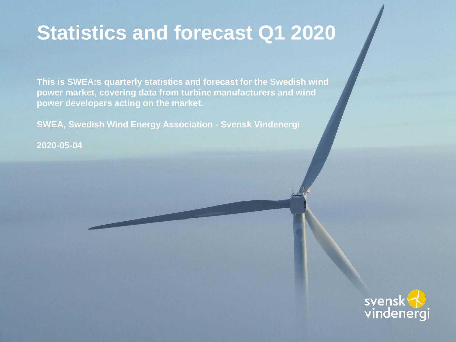### **Statistics and forecast Q1 2020**

**This is SWEA:s quarterly statistics and forecast for the Swedish wind power market, covering data from turbine manufacturers and wind power developers acting on the market.**

**SWEA, Swedish Wind Energy Association - Svensk Vindenergi**

**2020-05-04**

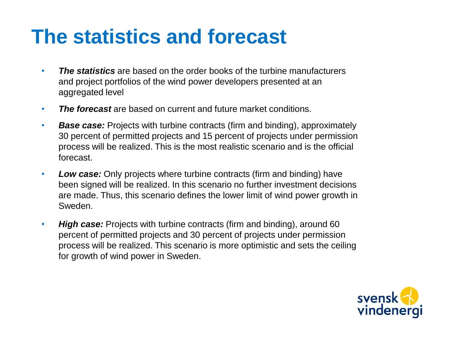### **The statistics and forecast**

- *The statistics* are based on the order books of the turbine manufacturers and project portfolios of the wind power developers presented at an aggregated level
- *The forecast* are based on current and future market conditions.
- *Base case:* Projects with turbine contracts (firm and binding), approximately 30 percent of permitted projects and 15 percent of projects under permission process will be realized. This is the most realistic scenario and is the official forecast.
- *Low case:* Only projects where turbine contracts (firm and binding) have been signed will be realized. In this scenario no further investment decisions are made. Thus, this scenario defines the lower limit of wind power growth in Sweden.
- *High case:* Projects with turbine contracts (firm and binding), around 60 percent of permitted projects and 30 percent of projects under permission process will be realized. This scenario is more optimistic and sets the ceiling for growth of wind power in Sweden.

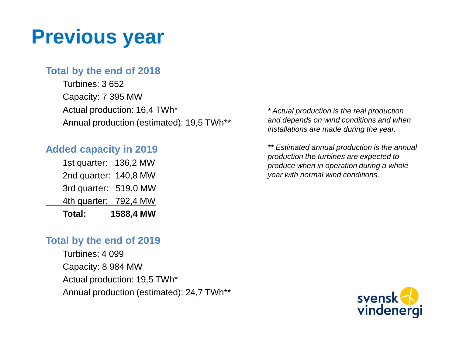### **Previous year**

### **Total by the end of 2018**

Turbines: 3 652 Capacity: 7 395 MW Actual production: 16,4 TWh\* Annual production (estimated): 19,5 TWh\*\*

### **Added capacity in 2019**

| Total:       | 1588,4 MW |
|--------------|-----------|
| 4th quarter: | 792,4 MW  |
| 3rd quarter: | 519,0 MW  |
| 2nd quarter: | 140,8 MW  |
| 1st quarter: | 136,2 MW  |

#### **Total by the end of 2019**

Turbines: 4 099 Capacity: 8 984 MW Actual production: 19,5 TWh\* Annual production (estimated): 24,7 TWh\*\*

*\* Actual production is the real production and depends on wind conditions and when installations are made during the year.*

*\*\* Estimated annual production is the annual production the turbines are expected to produce when in operation during a whole year with normal wind conditions.*

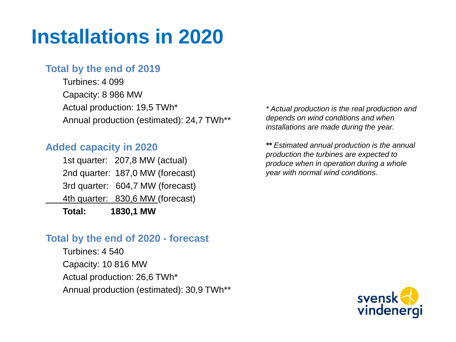# **Installations in 2020**

### **Total by the end of 2019**

Turbines: 4 099 Capacity: 8 986 MW Actual production: 19,5 TWh\* Annual production (estimated): 24,7 TWh\*\*

#### **Added capacity in 2020**

1st quarter: 207,8 MW (actual) 2nd quarter: 187,0 MW (forecast) 3rd quarter: 604,7 MW (forecast) 4th quarter: 830,6 MW (forecast) **Total: 1830,1 MW** 

#### **Total by the end of 2020 - forecast**

Turbines: 4 540 Capacity: 10 816 MW Actual production: 26,6 TWh\* Annual production (estimated): 30,9 TWh\*\*

*\* Actual production is the real production and depends on wind conditions and when installations are made during the year.*

*\*\* Estimated annual production is the annual production the turbines are expected to produce when in operation during a whole year with normal wind conditions.*

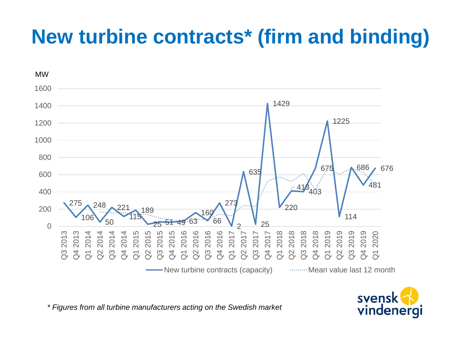# **New turbine contracts\* (firm and binding)**



svensk vindenergi

*\* Figures from all turbine manufacturers acting on the Swedish market*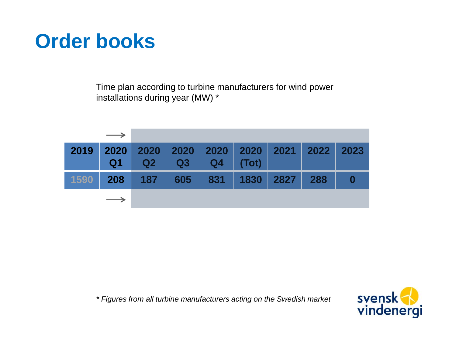## **Order books**

Time plan according to turbine manufacturers for wind power installations during year (MW) \*

| $\longrightarrow$ |                                                                   |  |  |  |
|-------------------|-------------------------------------------------------------------|--|--|--|
|                   | 2019 2020 2020 2020 2020 2020 2021 2022 2023<br>Q1 Q2 Q3 Q4 (Tot) |  |  |  |
|                   | 1590 208 187 605 831 1830 2827 288 0                              |  |  |  |
|                   |                                                                   |  |  |  |

*\* Figures from all turbine manufacturers acting on the Swedish market*

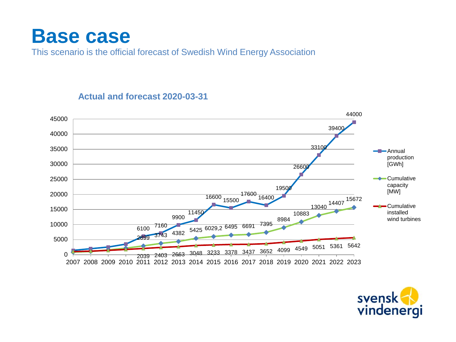### **Base case**

This scenario is the official forecast of Swedish Wind Energy Association



#### **Actual and forecast 2020-03-31**

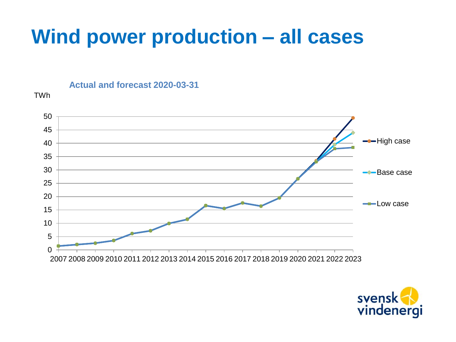## **Wind power production – all cases**

**Actual and forecast 2020-03-31**

TWh



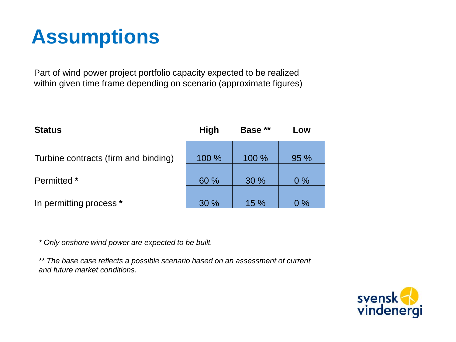# **Assumptions**

Part of wind power project portfolio capacity expected to be realized within given time frame depending on scenario (approximate figures)

| <b>Status</b>                        | <b>High</b> | Base ** | Low   |
|--------------------------------------|-------------|---------|-------|
| Turbine contracts (firm and binding) | 100 %       | 100 %   | 95 %  |
| Permitted *                          | 60 %        | 30%     | $0\%$ |
| In permitting process *              | 30 %        | 15%     | $0\%$ |

*\* Only onshore wind power are expected to be built.*

*\*\* The base case reflects a possible scenario based on an assessment of current and future market conditions.*

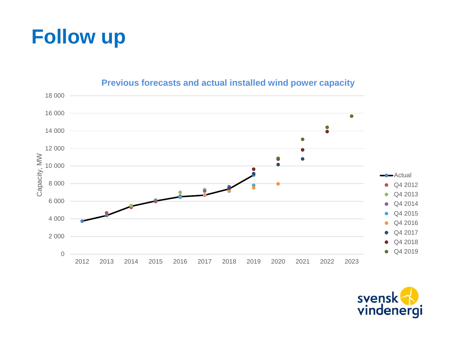



#### **Previous forecasts and actual installed wind power capacity**

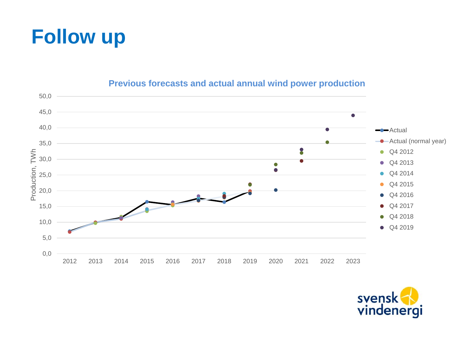



#### **Previous forecasts and actual annual wind power production**

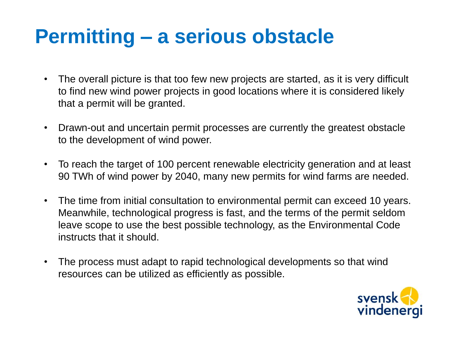## **Permitting – a serious obstacle**

- The overall picture is that too few new projects are started, as it is very difficult to find new wind power projects in good locations where it is considered likely that a permit will be granted.
- Drawn-out and uncertain permit processes are currently the greatest obstacle to the development of wind power.
- To reach the target of 100 percent renewable electricity generation and at least 90 TWh of wind power by 2040, many new permits for wind farms are needed.
- The time from initial consultation to environmental permit can exceed 10 years. Meanwhile, technological progress is fast, and the terms of the permit seldom leave scope to use the best possible technology, as the Environmental Code instructs that it should.
- The process must adapt to rapid technological developments so that wind resources can be utilized as efficiently as possible.

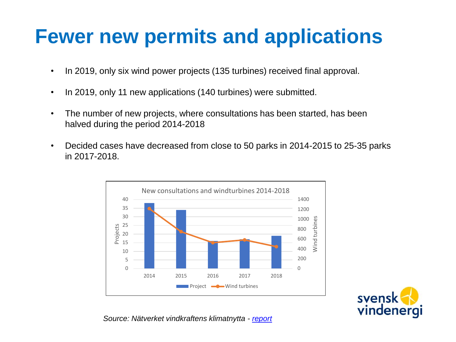## **Fewer new permits and applications**

- In 2019, only six wind power projects (135 turbines) received final approval.
- In 2019, only 11 new applications (140 turbines) were submitted.
- The number of new projects, where consultations has been started, has been halved during the period 2014-2018
- Decided cases have decreased from close to 50 parks in 2014-2015 to 25-35 parks in 2017-2018.



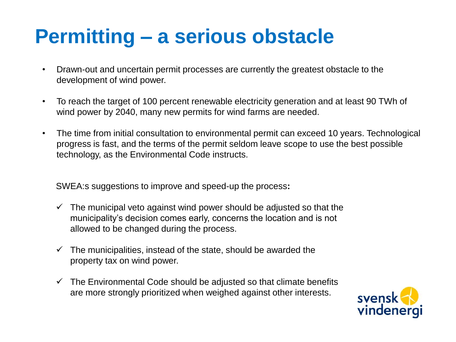## **Permitting – a serious obstacle**

- Drawn-out and uncertain permit processes are currently the greatest obstacle to the development of wind power.
- To reach the target of 100 percent renewable electricity generation and at least 90 TWh of wind power by 2040, many new permits for wind farms are needed.
- The time from initial consultation to environmental permit can exceed 10 years. Technological progress is fast, and the terms of the permit seldom leave scope to use the best possible technology, as the Environmental Code instructs.

SWEA:s suggestions to improve and speed-up the process**:**

- $\checkmark$  The municipal veto against wind power should be adjusted so that the municipality's decision comes early, concerns the location and is not allowed to be changed during the process.
- $\checkmark$  The municipalities, instead of the state, should be awarded the property tax on wind power.
- $\checkmark$  The Environmental Code should be adjusted so that climate benefits are more strongly prioritized when weighed against other interests.

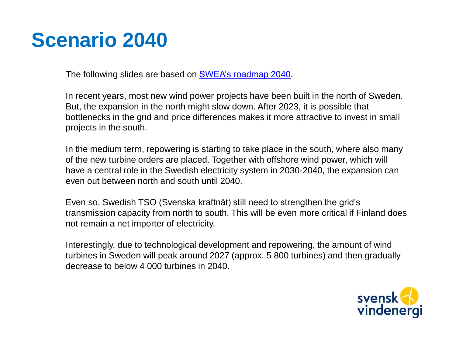The following slides are based on SWEA's [roadmap](https://swedishwindenergy.com/wp-content/uploads/2019/10/Svensk_Vindenergi_ROADMAP_2040_rev_ENG-1.pdf) 2040.

In recent years, most new wind power projects have been built in the north of Sweden. But, the expansion in the north might slow down. After 2023, it is possible that bottlenecks in the grid and price differences makes it more attractive to invest in small projects in the south.

In the medium term, repowering is starting to take place in the south, where also many of the new turbine orders are placed. Together with offshore wind power, which will have a central role in the Swedish electricity system in 2030-2040, the expansion can even out between north and south until 2040.

Even so, Swedish TSO (Svenska kraftnät) still need to strengthen the grid's transmission capacity from north to south. This will be even more critical if Finland does not remain a net importer of electricity.

Interestingly, due to technological development and repowering, the amount of wind turbines in Sweden will peak around 2027 (approx. 5 800 turbines) and then gradually decrease to below 4 000 turbines in 2040.

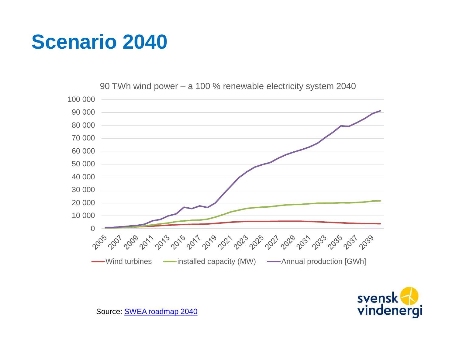

90 TWh wind power – a 100 % renewable electricity system 2040



Source: [SWEA roadmap](https://swedishwindenergy.com/wp-content/uploads/2019/10/Svensk_Vindenergi_ROADMAP_2040_rev_ENG-1.pdf) 2040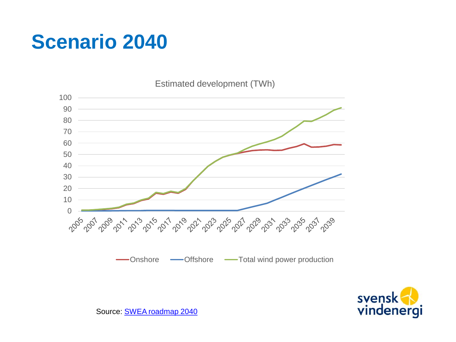Estimated development (TWh)





Source: [SWEA roadmap](https://swedishwindenergy.com/wp-content/uploads/2019/10/Svensk_Vindenergi_ROADMAP_2040_rev_ENG-1.pdf) 2040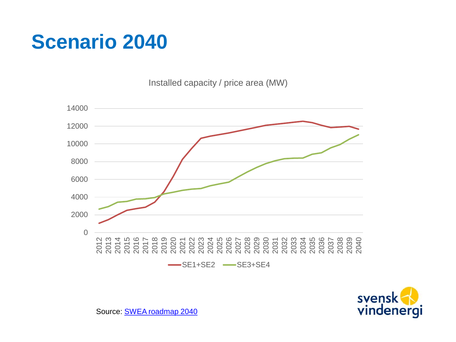Installed capacity / price area (MW)





Source: [SWEA roadmap](https://swedishwindenergy.com/wp-content/uploads/2019/10/Svensk_Vindenergi_ROADMAP_2040_rev_ENG-1.pdf) 2040